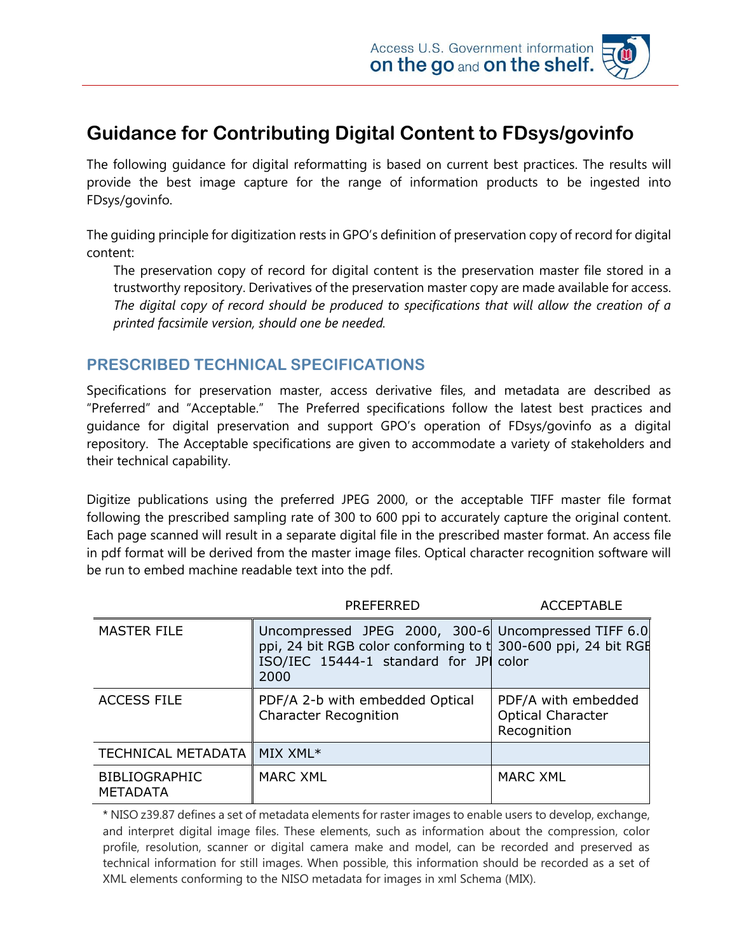# **Guidance for Contributing Digital Content to FDsys/govinfo**

The following guidance for digital reformatting is based on current best practices. The results will provide the best image capture for the range of information products to be ingested into FDsys/govinfo.

The guiding principle for digitization rests in GPO's definition of preservation copy of record for digital content:

The preservation copy of record for digital content is the preservation master file stored in a trustworthy repository. Derivatives of the preservation master copy are made available for access. *The digital copy of record should be produced to specifications that will allow the creation of a printed facsimile version, should one be needed.*

### **PRESCRIBED TECHNICAL SPECIFICATIONS**

Specifications for preservation master, access derivative files, and metadata are described as "Preferred" and "Acceptable." The Preferred specifications follow the latest best practices and guidance for digital preservation and support GPO's operation of FDsys/govinfo as a digital repository. The Acceptable specifications are given to accommodate a variety of stakeholders and their technical capability.

Digitize publications using the preferred JPEG 2000, or the acceptable TIFF master file format following the prescribed sampling rate of 300 to 600 ppi to accurately capture the original content. Each page scanned will result in a separate digital file in the prescribed master format. An access file in pdf format will be derived from the master image files. Optical character recognition software will be run to embed machine readable text into the pdf.

|                                         | PREFERRED                                                                                                                                                              | <b>ACCEPTABLE</b>                                              |
|-----------------------------------------|------------------------------------------------------------------------------------------------------------------------------------------------------------------------|----------------------------------------------------------------|
| <b>MASTER FILE</b>                      | Uncompressed JPEG 2000, 300-6 Uncompressed TIFF 6.0<br>ppi, 24 bit RGB color conforming to t 300-600 ppi, 24 bit RGE<br>ISO/IEC 15444-1 standard for JPI color<br>2000 |                                                                |
| <b>ACCESS FILE</b>                      | PDF/A 2-b with embedded Optical<br><b>Character Recognition</b>                                                                                                        | PDF/A with embedded<br><b>Optical Character</b><br>Recognition |
| <b>TECHNICAL METADATA I</b>             | MIX XML*                                                                                                                                                               |                                                                |
| <b>BIBLIOGRAPHIC</b><br><b>METADATA</b> | MARC XML                                                                                                                                                               | <b>MARC XML</b>                                                |

\* NISO z39.87 defines a set of metadata elements for raster images to enable users to develop, exchange, and interpret digital image files. These elements, such as information about the compression, color profile, resolution, scanner or digital camera make and model, can be recorded and preserved as technical information for still images. When possible, this information should be recorded as a set of XML elements conforming to the NISO metadata for images in xml Schema (MIX).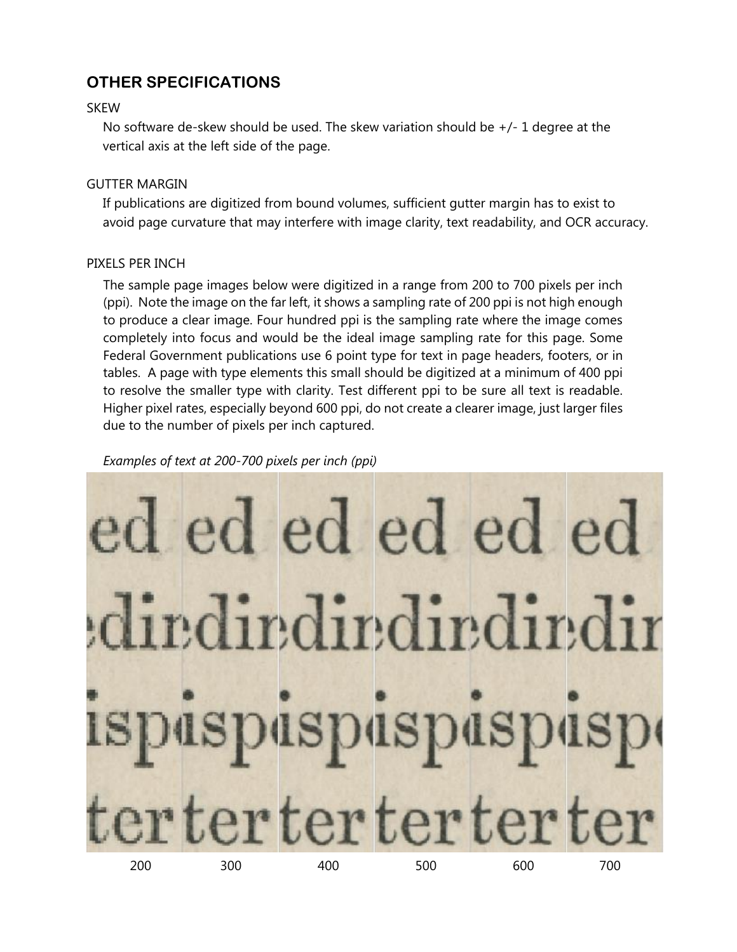## **OTHER SPECIFICATIONS**

### **SKEW**

No software de-skew should be used. The skew variation should be  $+/-1$  degree at the vertical axis at the left side of the page.

### GUTTER MARGIN

If publications are digitized from bound volumes, sufficient gutter margin has to exist to avoid page curvature that may interfere with image clarity, text readability, and OCR accuracy.

### PIXELS PER INCH

The sample page images below were digitized in a range from 200 to 700 pixels per inch (ppi). Note the image on the far left, it shows a sampling rate of 200 ppi is not high enough to produce a clear image. Four hundred ppi is the sampling rate where the image comes completely into focus and would be the ideal image sampling rate for this page. Some Federal Government publications use 6 point type for text in page headers, footers, or in tables. A page with type elements this small should be digitized at a minimum of 400 ppi to resolve the smaller type with clarity. Test different ppi to be sure all text is readable. Higher pixel rates, especially beyond 600 ppi, do not create a clearer image, just larger files due to the number of pixels per inch captured.

#### *Examples of text at 200-700 pixels per inch (ppi)*

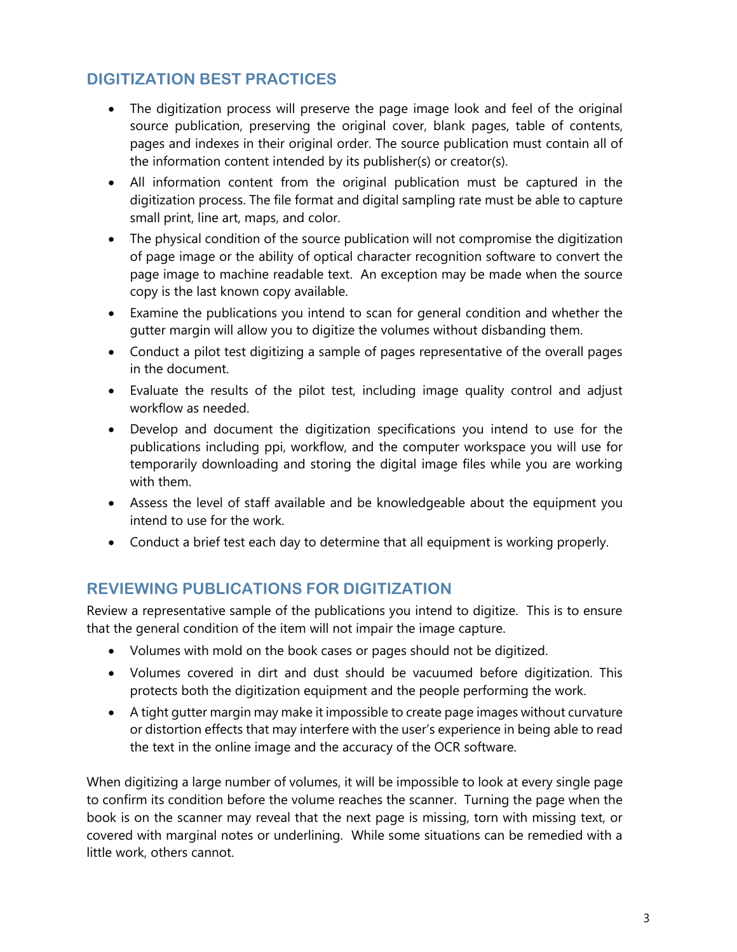# **DIGITIZATION BEST PRACTICES**

- The digitization process will preserve the page image look and feel of the original source publication, preserving the original cover, blank pages, table of contents, pages and indexes in their original order. The source publication must contain all of the information content intended by its publisher(s) or creator(s).
- All information content from the original publication must be captured in the digitization process. The file format and digital sampling rate must be able to capture small print, line art, maps, and color.
- The physical condition of the source publication will not compromise the digitization of page image or the ability of optical character recognition software to convert the page image to machine readable text. An exception may be made when the source copy is the last known copy available.
- Examine the publications you intend to scan for general condition and whether the gutter margin will allow you to digitize the volumes without disbanding them.
- Conduct a pilot test digitizing a sample of pages representative of the overall pages in the document.
- Evaluate the results of the pilot test, including image quality control and adjust workflow as needed.
- Develop and document the digitization specifications you intend to use for the publications including ppi, workflow, and the computer workspace you will use for temporarily downloading and storing the digital image files while you are working with them.
- Assess the level of staff available and be knowledgeable about the equipment you intend to use for the work.
- Conduct a brief test each day to determine that all equipment is working properly.

### **REVIEWING PUBLICATIONS FOR DIGITIZATION**

Review a representative sample of the publications you intend to digitize. This is to ensure that the general condition of the item will not impair the image capture.

- Volumes with mold on the book cases or pages should not be digitized.
- Volumes covered in dirt and dust should be vacuumed before digitization. This protects both the digitization equipment and the people performing the work.
- A tight gutter margin may make it impossible to create page images without curvature or distortion effects that may interfere with the user's experience in being able to read the text in the online image and the accuracy of the OCR software.

When digitizing a large number of volumes, it will be impossible to look at every single page to confirm its condition before the volume reaches the scanner. Turning the page when the book is on the scanner may reveal that the next page is missing, torn with missing text, or covered with marginal notes or underlining. While some situations can be remedied with a little work, others cannot.